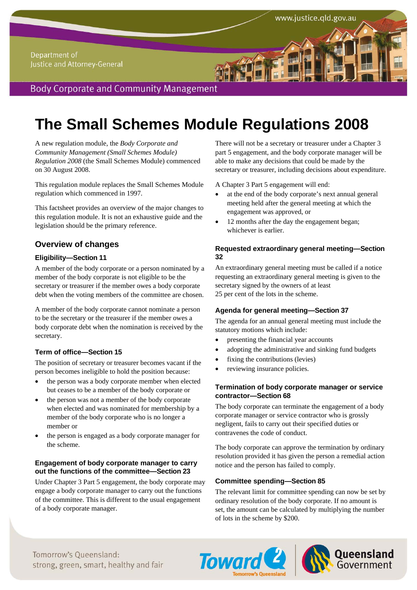# **The Small Schemes Module Regulations 2008**

A new regulation module, the *Body Corporate and Community Management (Small Schemes Module) Regulation 2008* (the Small Schemes Module) commenced on 30 August 2008.

This regulation module replaces the Small Schemes Module regulation which commenced in 1997.

This factsheet provides an overview of the major changes to this regulation module. It is not an exhaustive guide and the legislation should be the primary reference.

## **Overview of changes**

## **Eligibility—Section 11**

A member of the body corporate or a person nominated by a member of the body corporate is not eligible to be the secretary or treasurer if the member owes a body corporate debt when the voting members of the committee are chosen.

A member of the body corporate cannot nominate a person to be the secretary or the treasurer if the member owes a body corporate debt when the nomination is received by the secretary.

## **Term of office—Section 15**

The position of secretary or treasurer becomes vacant if the person becomes ineligible to hold the position because:

- the person was a body corporate member when elected but ceases to be a member of the body corporate or
- the person was not a member of the body corporate when elected and was nominated for membership by a member of the body corporate who is no longer a member or
- the person is engaged as a body corporate manager for the scheme.

## **Engagement of body corporate manager to carry out the functions of the committee—Section 23**

Under Chapter 3 Part 5 engagement, the body corporate may engage a body corporate manager to carry out the functions of the committee. This is different to the usual engagement of a body corporate manager.

There will not be a secretary or treasurer under a Chapter 3 part 5 engagement, and the body corporate manager will be able to make any decisions that could be made by the secretary or treasurer, including decisions about expenditure.

www.justice.qld.gov.au

A Chapter 3 Part 5 engagement will end:

- at the end of the body corporate's next annual general meeting held after the general meeting at which the engagement was approved, or
- 12 months after the day the engagement began; whichever is earlier.

## **Requested extraordinary general meeting—Section 32**

An extraordinary general meeting must be called if a notice requesting an extraordinary general meeting is given to the secretary signed by the owners of at least 25 per cent of the lots in the scheme.

## **Agenda for general meeting—Section 37**

The agenda for an annual general meeting must include the statutory motions which include:

- presenting the financial year accounts
- adopting the administrative and sinking fund budgets
- fixing the contributions (levies)
- reviewing insurance policies.

## **Termination of body corporate manager or service contractor—Section 68**

The body corporate can terminate the engagement of a body corporate manager or service contractor who is grossly negligent, fails to carry out their specified duties or contravenes the code of conduct.

The body corporate can approve the termination by ordinary resolution provided it has given the person a remedial action notice and the person has failed to comply.

## **Committee spending—Section 85**

The relevant limit for committee spending can now be set by ordinary resolution of the body corporate. If no amount is set, the amount can be calculated by multiplying the number of lots in the scheme by \$200.